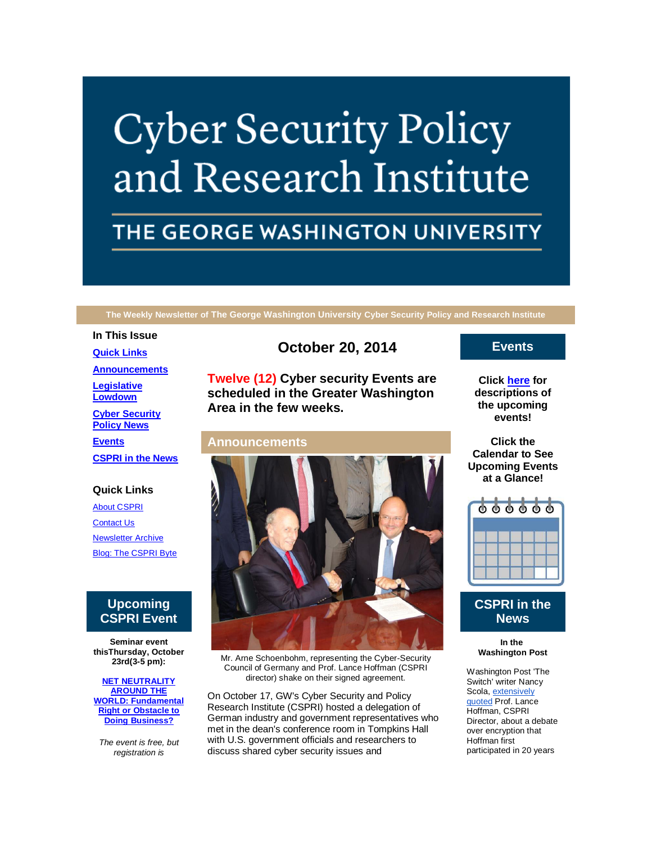# **Cyber Security Policy** and Research Institute

## THE GEORGE WASHINGTON UNIVERSITY

#### **The Weekly Newsletter of The George Washington University Cyber Security Policy and Research Institute**

#### **In This Issue**

**[Quick Links](https://mail.google.com/mail/u/0/#1492e8db1565e32c_LETTER.BLOCK5)**

**[Announcements](https://mail.google.com/mail/u/0/#1492e8db1565e32c_LETTER.BLOCK26)**

**[Legislative](https://mail.google.com/mail/u/0/#1492e8db1565e32c_LETTER.BLOCK52)  [Lowdown](https://mail.google.com/mail/u/0/#1492e8db1565e32c_LETTER.BLOCK52)**

**[Cyber Security](https://mail.google.com/mail/u/0/#1492e8db1565e32c_LETTER.BLOCK53)  [Policy News](https://mail.google.com/mail/u/0/#1492e8db1565e32c_LETTER.BLOCK53)**

**[Events](https://mail.google.com/mail/u/0/#1492e8db1565e32c_LETTER.BLOCK30) [CSPRI in the News](https://mail.google.com/mail/u/0/#1492e8db1565e32c_LETTER.BLOCK33)**

### **Quick Links**

[About CSPRI](http://r20.rs6.net/tn.jsp?e=001Z2-cQR7Ezisnuyr3tM6y8dy9lPgx-XicB1GbnPPuqyXCekNEZyXF9XKjxIGglyRsarXCBbeo2gu7fEl8uYK6vcAIkckNrTtrj2d0ICt7y9-VspS9V8EFPZL6Q8sycc6e) [Contact Us](http://r20.rs6.net/tn.jsp?e=001Z2-cQR7Ezisnuyr3tM6y8dy9lPgx-XicB1GbnPPuqyXCekNEZyXF9XKjxIGglyRsarXCBbeo2gu7fEl8uYK6vcAIkckNrTtrj2d0ICt7y9-pUbT95-BXdGPOZejqMrnFKKeUg2gvGec=) [Newsletter Archive](http://r20.rs6.net/tn.jsp?e=001Z2-cQR7Ezisnuyr3tM6y8dy9lPgx-XicB1GbnPPuqyXCekNEZyXF9XKjxIGglyRsarXCBbeo2gu7fEl8uYK6vcAIkckNrTtrj2d0ICt7y9_saR2dn185tRyA9AbXlod85roHwoHpheU=) [Blog: The CSPRI Byte](http://r20.rs6.net/tn.jsp?e=001Z2-cQR7Ezisnuyr3tM6y8dy9lPgx-XicB1GbnPPuqyXCekNEZyXF9XKjxIGglyRsarXCBbeo2gu7fEl8uYK6vcAIkckNrTtrj2d0ICt7y9_ONhYrwjpHDfMGkucjlvEb)

## **Upcoming CSPRI Event**

**Seminar event thisThursday, October 23rd(3-5 pm):**

**[NET NEUTRALITY](http://r20.rs6.net/tn.jsp?e=001Z2-cQR7Ezisnuyr3tM6y8dy9lPgx-XicB1GbnPPuqyXCekNEZyXF9XKjxIGglyRsarXCBbeo2gs8qEpakwHHpAChXMhDWX9vdU9OIqV-gfD-vUFIDEGxjZQXRS9ZDcctLdIOyY74-pAX-iZvElFIDQ==)  [AROUND THE](http://r20.rs6.net/tn.jsp?e=001Z2-cQR7Ezisnuyr3tM6y8dy9lPgx-XicB1GbnPPuqyXCekNEZyXF9XKjxIGglyRsarXCBbeo2gs8qEpakwHHpAChXMhDWX9vdU9OIqV-gfD-vUFIDEGxjZQXRS9ZDcctLdIOyY74-pAX-iZvElFIDQ==)  [WORLD: Fundamental](http://r20.rs6.net/tn.jsp?e=001Z2-cQR7Ezisnuyr3tM6y8dy9lPgx-XicB1GbnPPuqyXCekNEZyXF9XKjxIGglyRsarXCBbeo2gs8qEpakwHHpAChXMhDWX9vdU9OIqV-gfD-vUFIDEGxjZQXRS9ZDcctLdIOyY74-pAX-iZvElFIDQ==) [Right or Obstacle to](http://r20.rs6.net/tn.jsp?e=001Z2-cQR7Ezisnuyr3tM6y8dy9lPgx-XicB1GbnPPuqyXCekNEZyXF9XKjxIGglyRsarXCBbeo2gs8qEpakwHHpAChXMhDWX9vdU9OIqV-gfD-vUFIDEGxjZQXRS9ZDcctLdIOyY74-pAX-iZvElFIDQ==)  [Doing Business?](http://r20.rs6.net/tn.jsp?e=001Z2-cQR7Ezisnuyr3tM6y8dy9lPgx-XicB1GbnPPuqyXCekNEZyXF9XKjxIGglyRsarXCBbeo2gs8qEpakwHHpAChXMhDWX9vdU9OIqV-gfD-vUFIDEGxjZQXRS9ZDcctLdIOyY74-pAX-iZvElFIDQ==)**

*The event is free, but registration is* 

## **October 20, 2014**

**Twelve (12) Cyber security Events are scheduled in the Greater Washington Area in the few weeks.**

#### **Announcements**



Mr. Arne Schoenbohm, representing the Cyber-Security Council of Germany and Prof. Lance Hoffman (CSPRI director) shake on their signed agreement.

On October 17, GW's Cyber Security and Policy Research Institute (CSPRI) hosted a delegation of German industry and government representatives who met in the dean's conference room in Tompkins Hall with U.S. government officials and researchers to discuss shared cyber security issues and

## **Events**

**Click [here](http://r20.rs6.net/tn.jsp?e=001Z2-cQR7Ezisnuyr3tM6y8dy9lPgx-XicB1GbnPPuqyXCekNEZyXF9XKjxIGglyRsarXCBbeo2gu7fEl8uYK6vcAIkckNrTtrj2d0ICt7y9-QMyWY_-okv3xnbQkCcyc58A68-YgDENZmBIiuiWX3cw==) for descriptions of the upcoming events!**

**Click the Calendar to See [U](http://r20.rs6.net/tn.jsp?e=001Z2-cQR7Ezisnuyr3tM6y8dy9lPgx-XicB1GbnPPuqyXCekNEZyXF9XKjxIGglyRsarXCBbeo2gs8qEpakwHHpAChXMhDWX9vdU9OIqV-gfDblM2Wje85cg==)pcoming Events at a Glance!**



## **CSPRI in the News**

**In the Washington Post**

Washington Post 'The Switch' writer Nancy Scola, extensively [quoted](http://r20.rs6.net/tn.jsp?e=001Z2-cQR7Ezisnuyr3tM6y8dy9lPgx-XicB1GbnPPuqyXCekNEZyXF9XKjxIGglyRsarXCBbeo2gvtRJmmiXTYSCK1LbP3cC5UC3RTJ7vLVUgOZtotvjesDutBLEGD2JK3c7A0aCBGi7v0z1d4B9l7qKsL_3ZajpGHUkTyqt_KdCZtlm9vvBXPD1cfoAiHLdw_9lL307sX4jtNc7PGnY3VSmEEiZUvHdpMhEly79l9Y-5Bv_4eom-Xlxi1KP7Uy-AUpczVyCxrCQVMxGb9IzW9Z67_vdJ0VRzx) Prof. Lance Hoffman, CSPRI Director, about a debate over encryption that Hoffman first participated in 20 years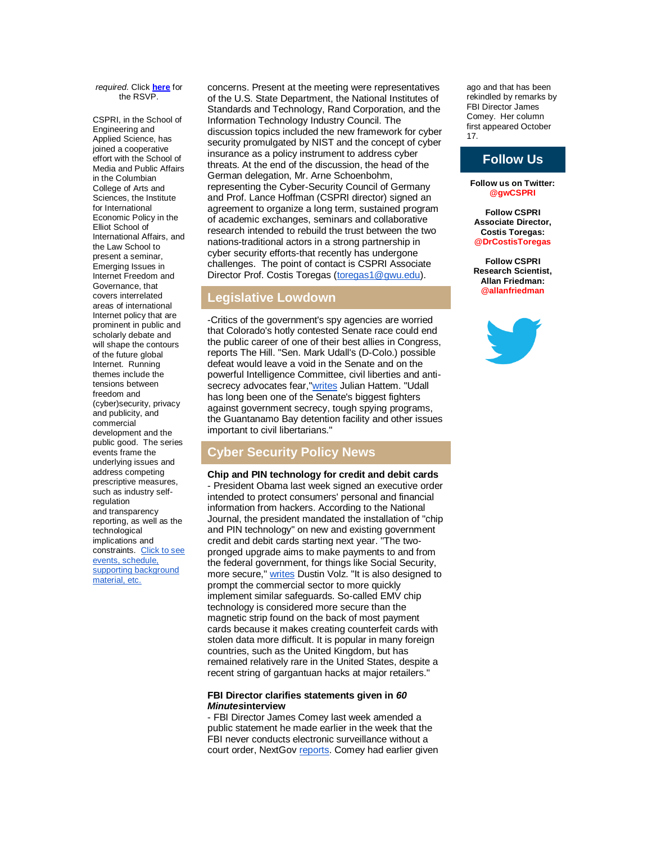*required.* Click **[here](http://r20.rs6.net/tn.jsp?e=001Z2-cQR7Ezisnuyr3tM6y8dy9lPgx-XicB1GbnPPuqyXCekNEZyXF9XKjxIGglyRsArdOO4xNz7oH4fZCuxPGteSCi3ABCCSNtj3tgQwacCCq8Zf76aDfWVkHrjFp05wq79RcYFT13oUT1oxv87krExbjJ3q1blefkqFTnIStqJf6XQdMw-LcIWYuFiFWRyhal8ejbv6-9EmEA7D2EvhCFmpiSHLr7wNw)** for the RSVP.

CSPRI, in the School of Engineering and Applied Science, has joined a cooperative effort with the School of Media and Public Affairs in the Columbian College of Arts and Sciences, the Institute for International Economic Policy in the Elliot School of International Affairs, and the Law School to present a seminar, Emerging Issues in Internet Freedom and Governance, that covers interrelated areas of international Internet policy that are prominent in public and scholarly debate and will shape the contours of the future global Internet. Running themes include the tensions between freedom and (cyber)security, privacy and publicity, and commercial development and the public good. The series events frame the underlying issues and address competing prescriptive measures, such as industry selfregulation and transparency reporting, as well as the technological implications and constraints. Click to see [events, schedule,](http://r20.rs6.net/tn.jsp?e=001Z2-cQR7Ezisnuyr3tM6y8dy9lPgx-XicB1GbnPPuqyXCekNEZyXF9XKjxIGglyRsarXCBbeo2gsm1NlFxbPS5hyWmWlx9Y0peGvrvrSTyOY=)  [supporting background](http://r20.rs6.net/tn.jsp?e=001Z2-cQR7Ezisnuyr3tM6y8dy9lPgx-XicB1GbnPPuqyXCekNEZyXF9XKjxIGglyRsarXCBbeo2gsm1NlFxbPS5hyWmWlx9Y0peGvrvrSTyOY=)  [material, etc.](http://r20.rs6.net/tn.jsp?e=001Z2-cQR7Ezisnuyr3tM6y8dy9lPgx-XicB1GbnPPuqyXCekNEZyXF9XKjxIGglyRsarXCBbeo2gsm1NlFxbPS5hyWmWlx9Y0peGvrvrSTyOY=)

concerns. Present at the meeting were representatives of the U.S. State Department, the National Institutes of Standards and Technology, Rand Corporation, and the Information Technology Industry Council. The discussion topics included the new framework for cyber security promulgated by NIST and the concept of cyber insurance as a policy instrument to address cyber threats. At the end of the discussion, the head of the German delegation, Mr. Arne Schoenbohm, representing the Cyber-Security Council of Germany and Prof. Lance Hoffman (CSPRI director) signed an agreement to organize a long term, sustained program of academic exchanges, seminars and collaborative research intended to rebuild the trust between the two nations-traditional actors in a strong partnership in cyber security efforts-that recently has undergone challenges. The point of contact is CSPRI Associate Director Prof. Costis Toregas [\(toregas1@gwu.edu\)](mailto:toregas1@gwu.edu).

## **Legislative Lowdown**

-Critics of the government's spy agencies are worried that Colorado's hotly contested Senate race could end the public career of one of their best allies in Congress, reports The Hill. "Sen. Mark Udall's (D-Colo.) possible defeat would leave a void in the Senate and on the powerful Intelligence Committee, civil liberties and anti-secrecy advocates fear, ["writes](http://r20.rs6.net/tn.jsp?e=001Z2-cQR7Ezisnuyr3tM6y8dy9lPgx-XicB1GbnPPuqyXCekNEZyXF9XKjxIGglyRsarXCBbeo2gtZ74J2ptmauRHXV_xTdchGTaoceUQ6YF6duOrRkHKlzs5iRkMFX2MneUZjY0qY-HxGAep6Pt3pvvy3BRCIi-FPT4hsjvX5gPgRS_k8O85JGQ==) Julian Hattem. "Udall has long been one of the Senate's biggest fighters against government secrecy, tough spying programs, the Guantanamo Bay detention facility and other issues important to civil libertarians."

## **Cyber Security Policy News**

**Chip and PIN technology for credit and debit cards** - President Obama last week signed an executive order intended to protect consumers' personal and financial information from hackers. According to the National Journal, the president mandated the installation of "chip and PIN technology" on new and existing government credit and debit cards starting next year. "The twopronged upgrade aims to make payments to and from the federal government, for things like Social Security, more secure," [writes](http://r20.rs6.net/tn.jsp?e=001Z2-cQR7Ezisnuyr3tM6y8dy9lPgx-XicB1GbnPPuqyXCekNEZyXF9XKjxIGglyRsarXCBbeo2gsa_iL_GUuXExl7RvvPv_86g6yCysossayzkTgjCxj9HsReeQih_1Cw1mbIG54DxffFz9c0teExboukwlhPP_oOjrtAFs2Iu_Kq4lQuc0QKQJtDbDkt_FEQyP3R1F9lQQZK2u4DPiGGbg==) Dustin Volz. "It is also designed to prompt the commercial sector to more quickly implement similar safeguards. So-called EMV chip technology is considered more secure than the magnetic strip found on the back of most payment cards because it makes creating counterfeit cards with stolen data more difficult. It is popular in many foreign countries, such as the United Kingdom, but has remained relatively rare in the United States, despite a recent string of gargantuan hacks at major retailers."

#### **FBI Director clarifies statements given in** *60 Minutes***interview**

- FBI Director James Comey last week amended a public statement he made earlier in the week that the FBI never conducts electronic surveillance without a court order, NextGov [reports.](http://r20.rs6.net/tn.jsp?e=001Z2-cQR7Ezisnuyr3tM6y8dy9lPgx-XicB1GbnPPuqyXCekNEZyXF9XKjxIGglyRsarXCBbeo2gvhqypUjlsCrBNDU0fo2pwsoMirqiHXfa6zpmAOC33t7PbjroAjdGf2tEyo96vjmv7-9WBfvLTBiEEUSwjhlg4BSNn02VzMCW4Fo6Amp4o0YNqKUmId6PBoTXjPEJgYdYHm7lY77iQMR78_bDRlMjXFOFGUQjDstD8_qcOUYAWY6glvNjY3Y-tZKM4xb-UE5taAvn4e30ICuQ==) Comey had earlier given ago and that has been rekindled by remarks by FBI Director James Comey. Her column first appeared October 17.

## **Follow Us**

**Follow us on Twitter: @gwCSPRI**

**Follow CSPRI Associate Director, Costis Toregas: @DrCostisToregas**

**Follow CSPRI Research Scientist, Allan Friedman: @allanfriedman**

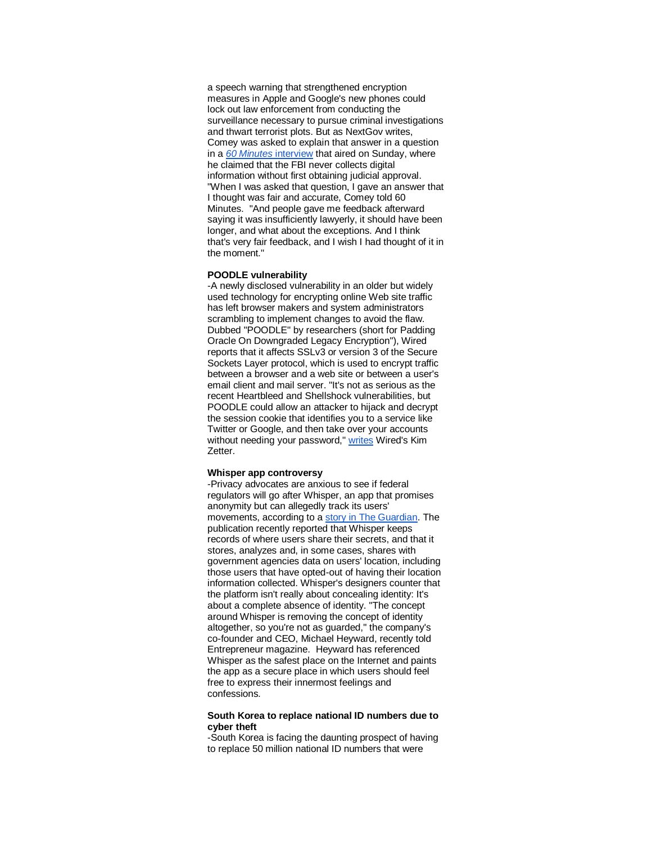a speech warning that strengthened encryption measures in Apple and Google's new phones could lock out law enforcement from conducting the surveillance necessary to pursue criminal investigations and thwart terrorist plots. But as NextGov writes, Comey was asked to explain that answer in a question in a *[60 Minutes](http://r20.rs6.net/tn.jsp?e=001Z2-cQR7Ezisnuyr3tM6y8dy9lPgx-XicB1GbnPPuqyXCekNEZyXF9XKjxIGglyRsarXCBbeo2gtstMRSzSiZ2x4NSxbwS4IrbYSL3CfTI6JmyiRPcFfCYUyL87uk9hUKuT6YM1newASl1hXypb_I81mTs0DauAABKkFnU88d1zJ10QPeJ1IHm8BZXduqT3yV)* interview that aired on Sunday, where he claimed that the FBI never collects digital information without first obtaining judicial approval. "When I was asked that question, I gave an answer that I thought was fair and accurate, Comey told 60 Minutes. "And people gave me feedback afterward saying it was insufficiently lawyerly, it should have been longer, and what about the exceptions. And I think that's very fair feedback, and I wish I had thought of it in the moment."

#### **POODLE vulnerability**

-A newly disclosed vulnerability in an older but widely used technology for encrypting online Web site traffic has left browser makers and system administrators scrambling to implement changes to avoid the flaw. Dubbed "POODLE" by researchers (short for Padding Oracle On Downgraded Legacy Encryption"), Wired reports that it affects SSLv3 or version 3 of the Secure Sockets Layer protocol, which is used to encrypt traffic between a browser and a web site or between a user's email client and mail server. "It's not as serious as the recent Heartbleed and Shellshock vulnerabilities, but POODLE could allow an attacker to hijack and decrypt the session cookie that identifies you to a service like Twitter or Google, and then take over your accounts without needing your password," [writes](http://r20.rs6.net/tn.jsp?e=001Z2-cQR7Ezisnuyr3tM6y8dy9lPgx-XicB1GbnPPuqyXCekNEZyXF9XKjxIGglyRsarXCBbeo2gsFMI7jAVuQrcyR30l7izAXSsVDmoClMqdhuZxqF69eNqfiJh-n7YJ0ABJtSFs38e_1tpsc72e1zg==) Wired's Kim Zetter.

#### **Whisper app controversy**

-Privacy advocates are anxious to see if federal regulators will go after Whisper, an app that promises anonymity but can allegedly track its users' movements, according to a [story in The Guardian.](http://r20.rs6.net/tn.jsp?e=001Z2-cQR7Ezisnuyr3tM6y8dy9lPgx-XicB1GbnPPuqyXCekNEZyXF9XKjxIGglyRsarXCBbeo2guhgT-fI2KYomyb-3hD5XLY7jfBSsdGDCSLva6tlZnPAECsj5Qqm1CU3166kbqqct0cioqRMjzYt1Kf6RLtQmEsXgqY4mMvbxefa0cYeKc9udRUUCvDXwYc53kc6ICZ2Js=) The publication recently reported that Whisper keeps records of where users share their secrets, and that it stores, analyzes and, in some cases, shares with government agencies data on users' location, including those users that have opted-out of having their location information collected. Whisper's designers counter that the platform isn't really about concealing identity: It's about a complete absence of identity. "The concept around Whisper is removing the concept of identity altogether, so you're not as guarded," the company's co-founder and CEO, Michael Heyward, recently told Entrepreneur magazine. Heyward has referenced Whisper as the safest place on the Internet and paints the app as a secure place in which users should feel free to express their innermost feelings and confessions.

#### **South Korea to replace national ID numbers due to cyber theft**

-South Korea is facing the daunting prospect of having to replace 50 million national ID numbers that were